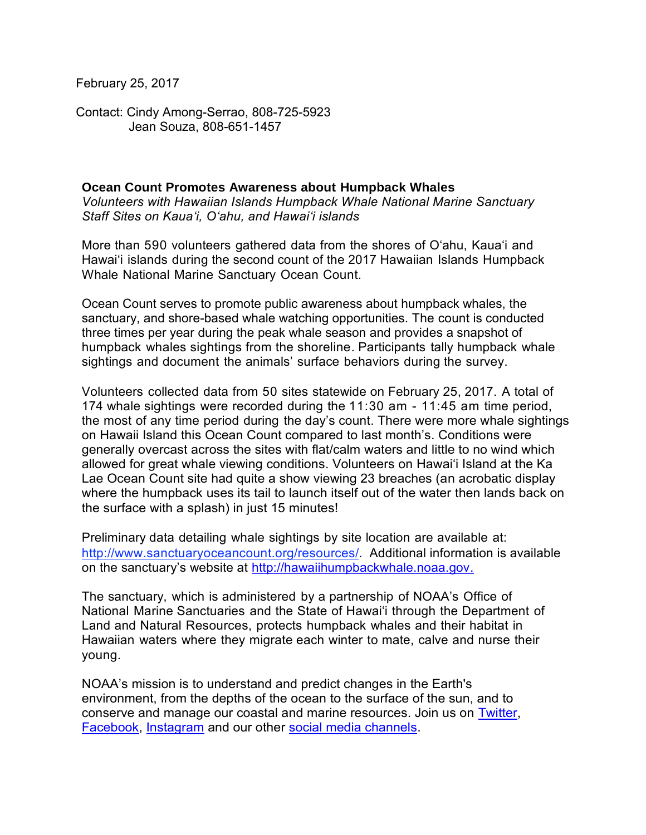February 25, 2017

Contact: Cindy Among-Serrao, 808-725-5923 Jean Souza, 808-651-1457

## **Ocean Count Promotes Awareness about Humpback Whales**

*Volunteers with Hawaiian Islands Humpback Whale National Marine Sanctuary Staff Sites on Kaua'i, O'ahu, and Hawai'i islands*

More than 590 volunteers gathered data from the shores of O'ahu, Kaua'i and Hawai'i islands during the second count of the 2017 Hawaiian Islands Humpback Whale National Marine Sanctuary Ocean Count.

Ocean Count serves to promote public awareness about humpback whales, the sanctuary, and shore-based whale watching opportunities. The count is conducted three times per year during the peak whale season and provides a snapshot of humpback whales sightings from the shoreline. Participants tally humpback whale sightings and document the animals' surface behaviors during the survey.

Volunteers collected data from 50 sites statewide on February 25, 2017. A total of 174 whale sightings were recorded during the 11:30 am - 11:45 am time period, the most of any time period during the day's count. There were more whale sightings on Hawaii Island this Ocean Count compared to last month's. Conditions were generally overcast across the sites with flat/calm waters and little to no wind which allowed for great whale viewing conditions. Volunteers on Hawai'i Island at the Ka Lae Ocean Count site had quite a show viewing 23 breaches (an acrobatic display where the humpback uses its tail to launch itself out of the water then lands back on the surface with a splash) in just 15 minutes!

Preliminary data detailing whale sightings by site location are available at: [http://www.sanctuaryoceancount.org/resources/.](http://www.sanctuaryoceancount.org/resources/) Additional information is available on the sanctuary's website at [http://hawaiihumpbackwhale.noaa.gov.](http://hawaiihumpbackwhale.noaa.gov/)

The sanctuary, which is administered by a partnership of NOAA's Office of National Marine Sanctuaries and the State of Hawai'i through the Department of Land and Natural Resources, protects humpback whales and their habitat in Hawaiian waters where they migrate each winter to mate, calve and nurse their young.

NOAA's mission is to understand and predict changes in the Earth's environment, from the depths of the ocean to the surface of the sun, and to conserve and manage our coastal and marine resources. Join us on [Twitter,](http://www.noaanews.noaa.gov/exit.html?https%3A%2F%2Ftwitter.com%2FNOAA) [Facebook,](http://www.noaanews.noaa.gov/exit.html?https%3A%2F%2Fwww.facebook.com%2FNOAA) [Instagram](http://www.noaanews.noaa.gov/exit.html?http%3A%2F%2Finstagram.com%2Fnoaa%3Fref%3Dbadge) and our other [social media channels.](http://www.noaa.gov/socialmedia/)